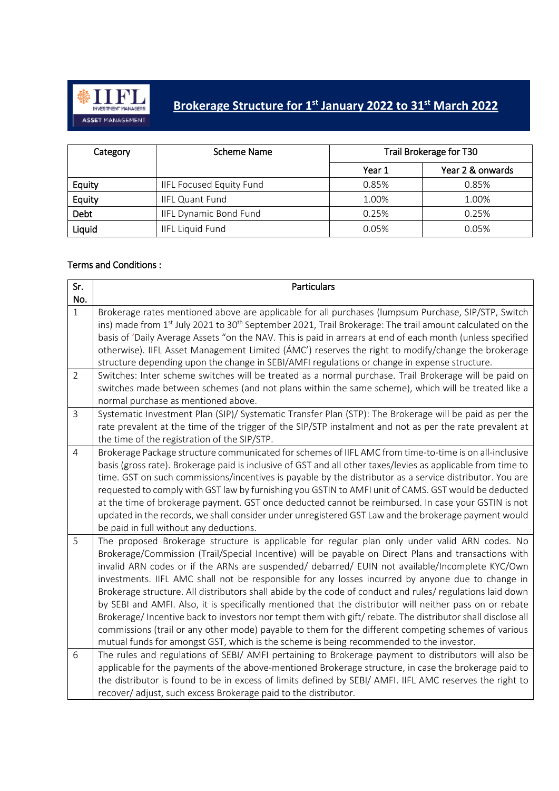

## **Brokerage Structure for 1st January 2022 to 31 st March 2022**

| Category | Scheme Name                     | Trail Brokerage for T30 |                  |
|----------|---------------------------------|-------------------------|------------------|
|          |                                 | Year 1                  | Year 2 & onwards |
| Equity   | <b>IIFL Focused Equity Fund</b> | 0.85%                   | 0.85%            |
| Equity   | <b>IIFL Quant Fund</b>          | 1.00%                   | 1.00%            |
| Debt     | <b>IIFL Dynamic Bond Fund</b>   | 0.25%                   | 0.25%            |
| Liquid   | <b>IIFL Liquid Fund</b>         | 0.05%                   | 0.05%            |

## Terms and Conditions :

| Sr.            | <b>Particulars</b>                                                                                                                                                                                                                      |
|----------------|-----------------------------------------------------------------------------------------------------------------------------------------------------------------------------------------------------------------------------------------|
| No.            |                                                                                                                                                                                                                                         |
| $\mathbf{1}$   | Brokerage rates mentioned above are applicable for all purchases (lumpsum Purchase, SIP/STP, Switch<br>ins) made from 1 <sup>st</sup> July 2021 to 30 <sup>th</sup> September 2021, Trail Brokerage: The trail amount calculated on the |
|                | basis of 'Daily Average Assets "on the NAV. This is paid in arrears at end of each month (unless specified                                                                                                                              |
|                | otherwise). IIFL Asset Management Limited (AMC') reserves the right to modify/change the brokerage                                                                                                                                      |
|                | structure depending upon the change in SEBI/AMFI regulations or change in expense structure.                                                                                                                                            |
| $\overline{2}$ | Switches: Inter scheme switches will be treated as a normal purchase. Trail Brokerage will be paid on                                                                                                                                   |
|                | switches made between schemes (and not plans within the same scheme), which will be treated like a                                                                                                                                      |
|                | normal purchase as mentioned above.                                                                                                                                                                                                     |
| $\overline{3}$ | Systematic Investment Plan (SIP)/ Systematic Transfer Plan (STP): The Brokerage will be paid as per the                                                                                                                                 |
|                | rate prevalent at the time of the trigger of the SIP/STP instalment and not as per the rate prevalent at                                                                                                                                |
|                | the time of the registration of the SIP/STP.                                                                                                                                                                                            |
| $\overline{4}$ | Brokerage Package structure communicated for schemes of IIFL AMC from time-to-time is on all-inclusive<br>basis (gross rate). Brokerage paid is inclusive of GST and all other taxes/levies as applicable from time to                  |
|                | time. GST on such commissions/incentives is payable by the distributor as a service distributor. You are                                                                                                                                |
|                | requested to comply with GST law by furnishing you GSTIN to AMFI unit of CAMS. GST would be deducted                                                                                                                                    |
|                | at the time of brokerage payment. GST once deducted cannot be reimbursed. In case your GSTIN is not                                                                                                                                     |
|                | updated in the records, we shall consider under unregistered GST Law and the brokerage payment would                                                                                                                                    |
|                | be paid in full without any deductions.                                                                                                                                                                                                 |
| 5              | The proposed Brokerage structure is applicable for regular plan only under valid ARN codes. No                                                                                                                                          |
|                | Brokerage/Commission (Trail/Special Incentive) will be payable on Direct Plans and transactions with                                                                                                                                    |
|                | invalid ARN codes or if the ARNs are suspended/ debarred/ EUIN not available/Incomplete KYC/Own                                                                                                                                         |
|                | investments. IIFL AMC shall not be responsible for any losses incurred by anyone due to change in                                                                                                                                       |
|                | Brokerage structure. All distributors shall abide by the code of conduct and rules/ regulations laid down                                                                                                                               |
|                | by SEBI and AMFI. Also, it is specifically mentioned that the distributor will neither pass on or rebate                                                                                                                                |
|                | Brokerage/Incentive back to investors nor tempt them with gift/rebate. The distributor shall disclose all                                                                                                                               |
|                | commissions (trail or any other mode) payable to them for the different competing schemes of various                                                                                                                                    |
| 6              | mutual funds for amongst GST, which is the scheme is being recommended to the investor.<br>The rules and regulations of SEBI/ AMFI pertaining to Brokerage payment to distributors will also be                                         |
|                | applicable for the payments of the above-mentioned Brokerage structure, in case the brokerage paid to                                                                                                                                   |
|                | the distributor is found to be in excess of limits defined by SEBI/ AMFI. IIFL AMC reserves the right to                                                                                                                                |
|                | recover/ adjust, such excess Brokerage paid to the distributor.                                                                                                                                                                         |